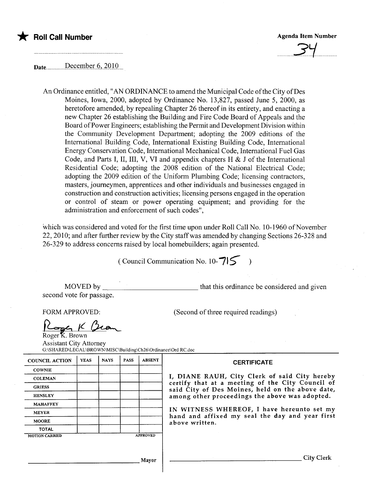

Date.... ..............P.tÇ,.tffPE.T.Q.,)QJ.Q..

An Ordinance entitled, "AN ORDINANCE to amend the Municipal Code ofthe City of Des Moines, Iowa, 2000, adopted by Ordinance No. 13,827, passed June 5, 2000, as heretofore amended, by repealing Chapter 26 thereof in its entirety, and enacting a new Chapter 26 establishing the Building and Fire Code Board of Appeals and the Board of Power Engineers; establishing the Permit and Development Division within the Community Development Department; adopting the 2009 editions of the International Building Code, International Existing Building Code, International Energy Conservation Code, International Mechanical Code, International Fuel Gas Code, and Parts I, II, III, V, VI and appendix chapters H & J of the International Residential Code; adopting the 2008 edition of the National Electrical Code; adopting the 2009 edition of the Uniform Plumbing Code; licensing contractors, masters, journeymen, apprentices and other individuals and businesses engaged in construction and construction activities; licensing persons engaged in the operation or control of stearn or power operating equipment; and providing for the administration and enforcement of such codes",

which was considered and voted for the first time upon under Roll Call No. 10-1960 of November 22, 2010; and after further review by the City staff was amended by changing Sections 26-328 and 26-329 to address concerns raised by local homebuilders; again presented.

(Council Communication No. 10- $715$ 

MOVED by second vote for passage. that this ordinance be considered and given

 $\sigma$  if  $\mu'$ Roger<sup>K</sup>. Brown

FORM APPROVED: (Second of three required readings)

Assistant City Attorney G:\SHAREDILEGAL \BROWN\MISC\Building\Ch26\Ofdinance\Ord RC.doc

| <b>COUNCIL ACTION</b> | <b>YEAS</b> | <b>NAYS</b> | <b>PASS</b>     | <b>ABSENT</b> |
|-----------------------|-------------|-------------|-----------------|---------------|
| <b>COWNIE</b>         |             |             |                 |               |
| <b>COLEMAN</b>        |             |             |                 |               |
| <b>GRIESS</b>         |             |             |                 |               |
| <b>HENSLEY</b>        |             |             |                 |               |
| <b>MAHAFFEY</b>       |             |             |                 |               |
| <b>MEYER</b>          |             |             |                 |               |
| <b>MOORE</b>          |             |             |                 |               |
| <b>TOTAL</b>          |             |             |                 |               |
| <b>MOTION CARRIED</b> |             |             | <b>APPROVED</b> |               |

**CERTIFICATE** 

I, DIANE RAUH, City Clerk of said City hereby certify that at a meeting of the City Council of said City of Des Moines, held on the above date, among other proceedings the above was adopted.

IN WITNESS WHEREOF, I have hereunto set my hand and affixed my seal the day and year first above written.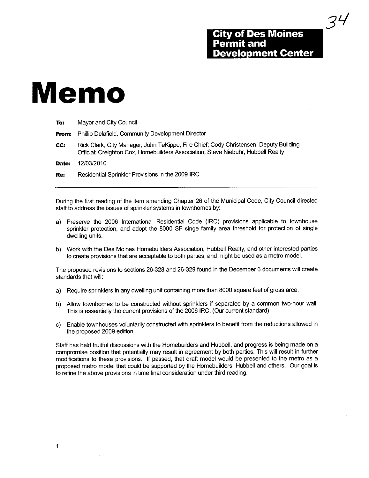3L/

# Memo

| To:   | Mayor and City Council                                                                                                                                                    |  |  |
|-------|---------------------------------------------------------------------------------------------------------------------------------------------------------------------------|--|--|
| From: | Phillip Delafield, Community Development Director                                                                                                                         |  |  |
| CC:   | Rick Clark, City Manager; John TeKippe, Fire Chief; Cody Christensen, Deputy Building<br>Official; Creighton Cox, Homebuilders Association; Steve Niebuhr, Hubbell Realty |  |  |
| Date: | 12/03/2010                                                                                                                                                                |  |  |
| Re:   | Residential Sprinkler Provisions in the 2009 IRC                                                                                                                          |  |  |
|       |                                                                                                                                                                           |  |  |

During the first reading of the item amending Chapter 26 of the Municipal Code, City Council directed staff to address the issues of sprinkler systems in townhomes by:

- a) Preserve the 2006 International Residential Code (IRC) provisions applicable to townhouse sprinkler protection, and adopt the 8000 SF singe family area threshold for protection of single dwelling units.
- b) Work with the Des Moines Homebuilders Association, Hubbell Realty, and other interested parties to create provisions that are acceptable to both parties, and might be used as a metro modeL.

The proposed revisions to sections 26-328 and 26-329 found in the December 6 documents will create standards that wil:

- a) Require sprinklers in any dwellng unit containing more than 8000 square feet of gross area.
- b) Allow town homes to be constructed without sprinklers if separated by a common two-hour wall. This is essentially the current provisions of the 2006 IRC. (Our current standard)
- c) Enable townhouses voluntarily constructed with sprinklers to benefit from the reductions allowed in the proposed 2009 edition.

Staff has held fruitful discussions with the Homebuilders and Hubbell, and progress is being made on a compromise position that potentially may result in agreement by both parties. This will result in further modifications to these provisions. If passed, that draft model would be presented to the metro as a proposed metro model that could be supported by the Homebuilders, Hubbell and others. Our goal is to refine the above provisions in time final consideration under third reading.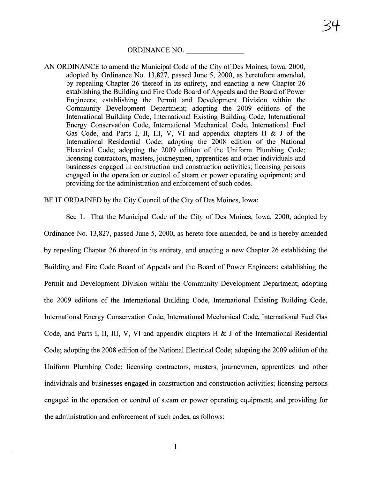ORDINANCE NO.

AN ORDINANCE to amend the Municipal Code of the City of Des Moines, Iowa, 2000, adopted by Ordinance No. 13,827, passed June 5, 2000, as heretofore amended, by repealing Chapter 26 thereof in its entirety, and enacting a new Chapter 26 establishing the Building and Fire Code Board of Appeals and the Board of Power Engineers; establishing the Permit and Development Division within the Community Development Deparment; adopting the 2009 editions of the International Building Code, International Existing Building Code, International Energy Conservation Code, International Mechanical Code, International Fuel Gas Code, and Parts I, II, III, V, VI and appendix chapters H  $\&$  J of the International Residential Code; adopting the 2008 edition of the National Electrical Code; adopting the 2009 edition of the Uniform Plumbing Code; licensing contractors, masters, joureymen, apprentices and other individuals and businesses engaged in construction and construction activities; licensing persons engaged in the operation or control of steam or power operating equipment; and providing for the administration and enforcement of such codes.

BE IT ORDAINED by the City Council of the City of Des Moines, Iowa:

See 1. That the Municipal Code of the City of Des Moines, Iowa, 2000, adopted by Ordinance No. 13,827, passed June 5, 2000, as hereto fore amended, be and is hereby amended by repealing Chapter 26 thereof in its entirety, and enacting a new Chapter 26 establishing the Building and Fire Code Board of Appeals and the Board of Power Engineers; establishing the Permit and Development Division within the Community Development Department; adopting the 2009 editions of the International Building Code, International Existing Building Code, International Energy Conservation Code, International Mechanical Code, International Fuel Gas Code, and Parts I, II, III, V, VI and appendix chapters H  $\&$  J of the International Residential Code; adopting the 2008 edition of the National Electrical Code; adopting the 2009 edition of the Uniform Plumbing Code; licensing contractors, masters, joureymen, apprentices and other individuals and businesses engaged in construction and construction activities; licensing persons engaged in the operation or control of steam or power operating equipment; and providing for the administration and enforcement of such codes, as follows: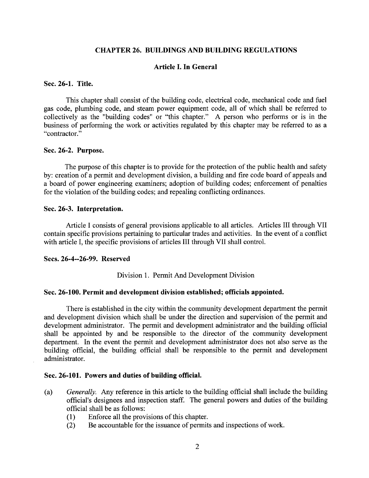#### CHAPTER 26. BUILDINGS AND BUILDING REGULATIONS

#### Article I. In General

#### Sec. 26-1. Title.

This chapter shall consist of the building code, electrical code, mechanical code and fuel gas code, plumbing code, and steam power equipment code, all of which shall be referred to collectively as the "building codes" or "this chapter." A person who performs or is in the business of performing the work or activities regulated by this chapter may be referred to as a "contractor. "

#### Sec. 26-2. Purpose.

The purpose of this chapter is to provide for the protection of the public health and safety by: creation of a permit and development division, a building and fire code board of appeals and a board of power engineering examiners; adoption of building codes; enforcement of penalties for the violation of the building codes; and repealing conflicting ordinances.

#### Sec. 26-3. Interpretation.

Article I consists of general provisions applicable to all articles. Articles III through VII contain specific provisions pertaining to particular trades and activities. In the event of a conflict with article I, the specific provisions of articles III through VII shall control.

#### Sees. 26-4--26-99. Reserved

#### Division 1. Permit And Development Division

#### Sec. 26- 100. Permit and development division established; officials appointed.

There is established in the city within the community development department the permit and development division which shall be under the direction and supervision of the permit and development administrator. The permit and development administrator and the building official shall be appointed by and be responsible to the director of the community development deparment. In the event the permit and development administrator does not also serve as the building official, the building official shall be responsible to the permit and development administrator.

#### Sec. 26-101. Powers and duties of building official.

- (a) Generally. Any reference in this article to the building official shall include the building official's designees and inspection staff. The general powers and duties of the building official shall be as follows:
	- (1) Enforce all the provisions of this chapter.<br>  $(2)$  Be accountable for the issuance of permit
	- Be accountable for the issuance of permits and inspections of work.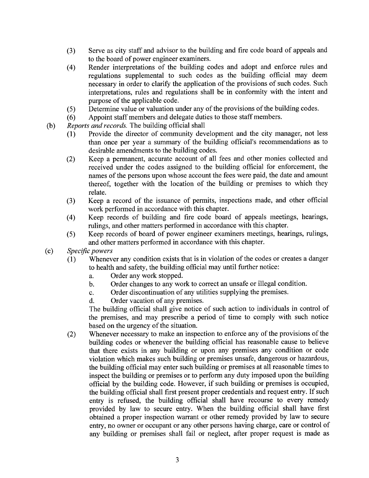- (3) Serve as city staff and advisor to the building and fire code board of appeals and to the board of power engineer examiners.
- (4) Render interpretations of the building codes and adopt and enforce rules and regulations supplemental to such codes as the building official may deem necessary in order to clarify the application of the provisions of such codes. Such interpretations, rules and regulations shall be in conformity with the intent and purpose of the applicable code.
- (5) Determine value or valuation under any of the provisions of the building codes.
- (6) Appoint staff members and delegate duties to those staff members.
- $(b)$  Reports and records. The building official shall
	- (1) Provide the director of community development and the city manager, not less than once per year a summary of the building official's recommendations as to desirable amendments to the building codes.
	- (2) Keep a permanent, accurate account of all fees and other monies collected and received under the codes assigned to the building official for enforcement, the names of the persons upon whose account the fees were paid, the date and amount thereof, together with the location of the building or premises to which they relate.
	- (3) Keep a record of the issuance of permits, inspections made, and other official work performed in accordance with this chapter.
	- (4) Keep records of building and fire code board of appeals meetings, hearings, rulings, and other matters performed in accordance with this chapter.
	- (5) Keep records of board of power engineer examiners meetings, hearings, rulings, and other matters performed in accordance with this chapter.
- (c) Specific powers<br>(1) Whenev
	- Whenever any condition exists that is in violation of the codes or creates a danger to health and safety, the building official may until further notice:
		- a. Order any work stopped.
		- b. Order changes to any work to correct an unsafe or ilegal condition.
		- c. Order discontinuation of any utilities supplying the premises.
		- d. Order vacation of any premises.

The building official shall give notice of such action to individuals in control of the premises, and may prescribe a period of time to comply with such notice based on the urgency of the situation.

(2) Whenever necessary to make an inspection to enforce any of the provisions of the building codes or whenever the building official has reasonable cause to believe that there exists in any building or upon any premises any condition or code violation which makes such building or premises unsafe, dangerous or hazardous, the building official may enter such building or premises at all reasonable times to inspect the building or premises or to perform any duty imposed upon the building official by the building code. However, if such building or premises is occupied, the building official shall first present proper credentials and request entry. If such entry is refused, the building official shall have recourse to every remedy provided by law to secure entry. When the building official shall have first obtained a proper inspection warrant or other remedy provided by law to secure entry, no owner or occupant or any other persons having charge, care or control of any building or premises shall fail or neglect, after proper request is made as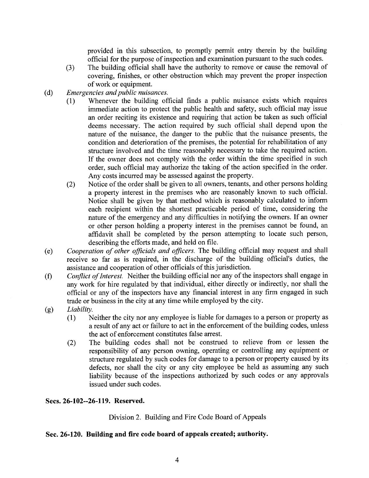provided in this subsection, to promptly permit entry therein by the building official for the purpose of inspection and examination pursuant to the such codes.

- (3) The building official shall have the authority to remove or cause the removal of covering, finishes, or other obstruction which may prevent the proper inspection of work or equipment.
- (d) Emergencies and public nuisances.
	- (1) Whenever the building official finds a public nuisance exists which requires immediate action to protect the public health and safety, such official may issue an order reciting its existence and requiring that action be taken as such official deems necessary. The action required by such official shall depend upon the nature of the nuisance, the danger to the public that the nuisance presents, the condition and deterioration of the premises, the potential for rehabilitation of any structure involved and the time reasonably necessary to take the required action. If the owner does not comply with the order within the time specified in such order, such official may authorize the taking of the action specified in the order. Any costs incurred may be assessed against the property.
	- (2) Notice of the order shall be given to all owners, tenants, and other persons holding a property interest in the premises who are reasonably known to such officiaL. Notice shall be given by that method which is reasonably calculated to inform each recipient within the shortest practicable period of time, considering the nature of the emergency and any difficulties in notifying the owners. If an owner or other person holding a property interest in the premises cannot be found, an affidavit shall be completed by the person attempting to locate such person, describing the efforts made, and held on fie.
- (e) Cooperation of other officials and officers. The building official may request and shall receive so far as is required, in the discharge of the building official's duties, the assistance and cooperation of other officials of this jurisdiction.
- (f) Confict of Interest. Neither the building official nor any of the inspectors shall engage in any work for hire regulated by that individual, either directly or indirectly, nor shall the official or any of the inspectors have any financial interest in any firm engaged in such trade or business in the city at any time while employed by the city.
- (g) Liability.<br>(1) N
	- Neither the city nor any employee is liable for damages to a person or property as a result of any act or failure to act in the enforcement of the building codes, unless the act of enforcement constitutes false arest.
	- (2) The building codes shall not be construed to relieve from or lessen the responsibility of any person owning, operating or controlling any equipment or structure regulated by such codes for damage to a person or property caused by its defects, nor shall the city or any city employee be held as assuming any such liability because of the inspections authorized by such codes or any approvals issued under such codes.

## Sees. 26-102--26-119. Reserved.

Division 2. Building and Fire Code Board of Appeals

## Sec. 26-120. Building and fire code board of appeals created; authority.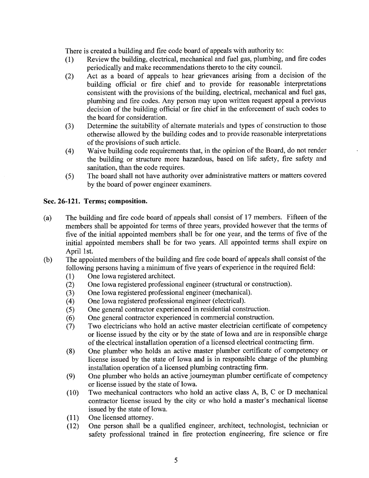There is created a building and fire code board of appeals with authority to:

- (1) Review the building, electrical, mechanical and fuel gas, plumbing, and fire codes periodically and make recommendations thereto to the city counciL.
- (2) Act as a board of appeals to hear grievances arising from a decision of the building official or fire chief and to provide for reasonable interpretations consistent with the provisions of the building, electrical, mechanical and fuel gas, plumbing and fire codes. Any person may upon written request appeal a previous decision of the building official or fire chief in the enforcement of such codes to the board for consideration.
- (3) Determine the suitability of alternate materials and types of construction to those otherwise allowed by the building codes and to provide reasonable interpretations of the provisions of such article.
- the building or structure more hazardous, based on life safety, fire safety and Waive building code requirements that, in the opinion of the Board, do not render sanitation, than the code requires.
- (5) The board shall not have authority over administrative matters or matters covered by the board of power engineer examiners.

# Sec. 26-121. Terms; composition.

- (a) The building and fire code board of appeals shall consist of 17 members. Fifteen of the members shall be appointed for terms of three years, provided however that the terms of five of the initial appointed members shall be for one year, and the terms of five of the initial appointed members shall be for two years. All appointed terms shall expire on April 1st.
- (b) The appointed members of the building and fire code board of appeals shall consist of the following persons having a minimum of five years of experience in the required field:
	-
	- (1) One Iowa registered architect.<br>(2) One Iowa registered profession (2) One Iowa registered professional engineer (structural or construction).<br>
	(3) One Iowa registered professional engineer (mechanical).
	- (3) One Iowa registered professional engineer (mechanical).<br>
	(4) One Iowa registered professional engineer (electrical).
	-
	- (4) One Iowa registered professional engineer (electrical).<br>
	(5) One general contractor experienced in residential cons
	- (5) One general contractor experienced in residential construction.<br>
	(6) One general contractor experienced in commercial construction
	- (6) One general contractor experienced in commercial construction.<br>(7) Two electricians who hold an active master electrician certifical Two electricians who hold an active master electrician certificate of competency or license issued by the city or by the state of Iowa and are in responsible charge of the electrical installation operation of a licensed electrical contracting firm.
	- (8) One plumber who holds an active master plumber certificate of competency or license issued by the state of Iowa and is in responsible charge of the plumbing installation operation of a licensed plumbing contracting firm.
	- (9) One plumber who holds an active joureyman plumber certificate of competency or license issued by the state of Iowa.
	- (10) Two mechanical contractors who hold an active class A, B, C or D mechanical contractor license issued by the city or who hold a master's mechanical license issued by the state of Iowa.
	- (11) One licensed attorney.<br>(12) One person shall be
	- (12) One person shall be a qualified engineer, architect, technologist, technician or safety professional trained in fire protection engineering, fire science or fire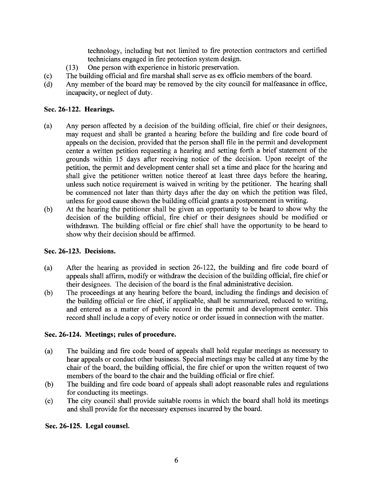technology, including but not limited to fire protection contractors and certified technicians engaged in fire protection system design.

- (13) One person with experience in historic preservation.
- (c) The building official and fire marshal shall serve as ex officio members of the board.<br>
(d) Any member of the board may be removed by the city council for malfeasance in or
- Any member of the board may be removed by the city council for malfeasance in office, incapacity, or neglect of duty.

# Sec. 26-122. Hearings.

- (a) Any person affected by a decision of the building official, fire chief or their designees, may request and shall be granted a hearing before the building and fire code board of appeals on the decision, provided that the person shall file in the permit and development center a written petition requesting a hearing and setting forth a brief statement of the grounds within 15 days after receiving notice of the decision. Upon receipt of the petition, the permit and development center shall set a time and place for the hearing and shall give the petitioner written notice thereof at least three days before the hearing, unless such notice requirement is waived in writing by the petitioner. The hearing shall be commenced not later than thirty days after the day on which the petition was fied, unless for good cause shown the building official grants a postponement in writing.<br>At the hearing the petitioner shall be given an opportunity to be heard to show why the
- (b) At the hearing the petitioner shall be given an opportunity to be heard to show why the decision of the building official, fire chief or their designees should be modified or withdrawn. The building official or fire chief shall have the opportunity to be heard to show why their decision should be affirmed.

# Sec. 26-123. Decisions.

- (a) After the hearing as provided in section 26-122, the building and fire code board of appeals shall affirm, modify or withdraw the decision of the building official, fire chief or their designees. The decision of the board is the final administrative decision.
- (b) The proceedings at any hearing before the board, including the findings and decision of the building official or fire chief, if applicable, shall be summarized, reduced to writing, and entered as a matter of public record in the permit and development center. This record shall include a copy of every notice or order issued in connection with the matter.

# Sec. 26-124. Meetings; rules of procedure.

- (a) The building and fire code board of appeals shall hold regular meetings as necessary to hear appeals or conduct other business. Special meetings may be called at any time by the chair of the board, the building official, the fire chief or upon the written request of two members of the board to the chair and the building official or fire chief.
- (b) The building and fire code board of appeals shall adopt reasonable rules and regulations for conducting its meetings.
- (c) The city council shall provide suitable rooms in which the board shall hold its meetings and shall provide for the necessary expenses incurred by the board.

# Sec. 26-125. Legal counseL.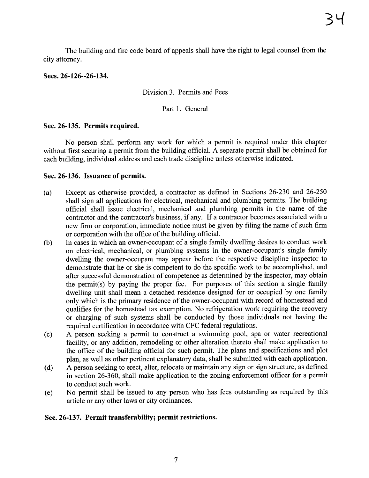The building and fire code board of appeals shall have the right to legal counsel from the city attorney.

# Sees. 26-126--26-134.

Division 3. Permits and Fees

Part 1. General

# Sec. 26-135. Permits required.

No person shall perform any work for which a permit is required under this chapter without first securing a permit from the building official. A separate permit shall be obtained for each building, individual address and each trade discipline unless otherwise indicated.

# Sec. 26-136. Issuance of permits.

- (a) Except as otherwise provided, a contractor as defined in Sections 26-230 and 26-250 shall sign all applications for electrical, mechanical and plumbing permits. The building official shall issue electrical, mechanical and plumbing permits in the name of the contractor and the contractor's business, if any. If a contractor becomes associated with a new firm or corporation, immediate notice must be given by fiing the name of such firm or corporation with the office of the building official.
- (b) In cases in which an owner-occupant of a single family dwellng desires to conduct work on electrical, mechanical, or plumbing systems in the owner-occupant's single family dwelling the owner-occupant may appear before the respective discipline inspector to demonstrate that he or she is competent to do the specific work to be accomplished, and after successful demonstration of competence as determined by the inspector, may obtain the permit(s) by paying the proper fee. For purposes of this section a single family dwelling unit shall mean a detached residence designed for or occupied by one family only which is the primary residence of the owner-occupant with record of homestead and qualifies for the homestead tax exemption. No refrigeration work requiring the recovery or charging of such systems shall be conducted by those individuals not having the required certification in accordance with CFC federal regulations.
- (c) A person seeking a permit to construct a swimming pool, spa or water recreational facility, or any addition, remodeling or other alteration thereto shall make application to the office of the building official for such permit. The plans and specifications and plot plan, as well as other pertinent explanatory data, shall be submitted with each application.
- (d) A person seeking to erect, alter, relocate or maintain any sign or sign structure, as defined in section 26-360, shall make application to the zoning enforcement officer for a permit to conduct such work.
- (e) No permit shall be issued to any person who has fees outstanding as required by this aricle or any other laws or city ordinances.

## Sec. 26-137. Permit transferabilty; permit restrictions.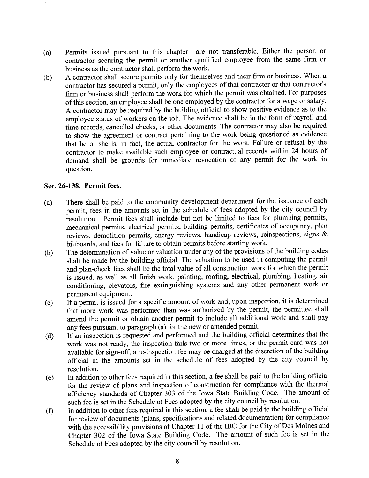- (a) Permits issued pursuant to this chapter are not transferable. Either the person or contractor securing the permit or another qualified employee from the same firm or
- business as the contractor shall perform the work.<br>A contractor shall secure permits only for themselves and their firm or business. When a (b) A contractor shall secure permits only for themselves and their firm or business. When a contractor has secured a permit, only the employees of that contractor or that contractor's firm or business shall perform the work for which the permit was obtained. For purposes of this section, an employee shall be one employed by the contractor for a wage or salary. A contractor may be required by the building official to show positive evidence as to the employee status of workers on the job. The evidence shall be in the form of payroll and time records, cancelled checks, or other documents. The contractor may also be required to show the agreement or contract pertaining to the work being questioned as evidence that he or she is, in fact, the actual contractor for the work. Failure or refusal by the contractor to make available such employee or contractual records within 24 hours of demand shall be grounds for immediate revocation of any permit for the work in question.

# Sec. 26-138. Permit fees.

- (a) There shall be paid to the community development department for the issuance of each permit, fees in the amounts set in the schedule of fees adopted by the city council by resolution. Permit fees shall include but not be limited to fees for plumbing permits, mechanical permits, electrical permits, building permits, certificates of occupancy, plan reviews, demolition permits, energy reviews, handicap reviews, reinspections, signs &
- billboards, and fees for failure to obtain permits before starting work.<br>The determination of value or valuation under any of the provisions of the building codes (b) The determination of value or valuation under any of the provisions of the building codes shall be made by the building officiaL. The valuation to be used in computing the permit and plan-check fees shall be the total value of all construction work for which the permit is issued, as well as all finish work, painting, roofing, electrical, plumbing, heating, air conditioning, elevators, fire extinguishing systems and any other permanent work or permanent equipment.<br>If a permit is issued for a specific amount of work and, upon inspection, it is determined
- (c) If a permit is issued for a specific amount of work and, upon inspection, it is determined that more work was performed than was authorized by the permit, the permittee shall amend the permit or obtain another permit to include all additional work and shall pay any fees pursuant to paragraph (a) for the new or amended permit.
- (d) If an inspection is requested and performed and the building offcial determines that the work was not ready, the inspection fails two or more times, or the permit card was not available for sign-off, a re-inspection fee may be charged at the discretion of the building official in the amounts set in the schedule of fees adopted by the city council by
- resolution.<br>In addition to other fees required in this section, a fee shall be paid to the building official for the review of plans and inspection of construction for compliance with the thermal<br>for the review of plans and inspection of construction for compliance with the thermal efficiency standards of Chapter 303 of the Iowa State Building Code. The amount of such fee is set in the Schedule of Fees adopted by the city council by resolution.<br>In addition to other fees required in this section, a fee shall be paid to the building official
- for review of documents (plans, specifications and related documentation) for compliance with the accessibility provisions of Chapter 11 of the IBC for the City of Des Moines and Chapter 302 of the Iowa State Building Code. The amount of such fee is set in the Schedule of Fees adopted by the city council by resolution.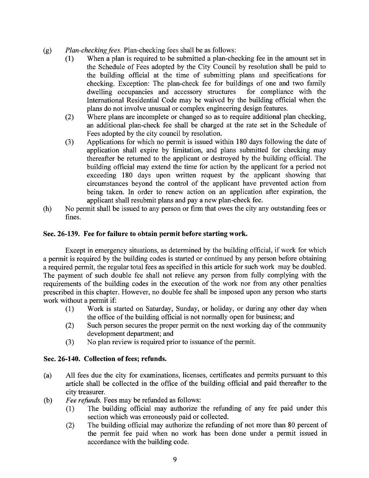- (g)  $Plan-checking fees$ . Plan-checking fees shall be as follows:<br>(1) When a plan is required to be submitted a plan-che
	- When a plan is required to be submitted a plan-checking fee in the amount set in the Schedule of Fees adopted by the City Council by resolution shall be paid to the building official at the time of submitting plans and specifications for checking. Exception: The plan-check fee for buildings of one and two family dwelling occupancies and accessory structures for compliance with the International Residential Code may be waived by the building official when the plans do not involve unusual or complex engineering design features.
	- (2) Where plans are incomplete or changed so as to require additional plan checking, an additional plan-check fee shall be charged at the rate set in the Schedule of Fees adopted by the city council by resolution.
	- (3) Applications for which no permit is issued within 180 days following the date of application shall expire by limitation, and plans submitted for checking may thereafter be returned to the applicant or destroyed by the building officiaL. The building official may extend the time for action by the applicant for a period not exceeding 180 days upon written request by the applicant showing that circumstances beyond the control of the applicant have prevented action from being taken. In order to renew action on an application after expiration, the applicant shall resubmit plans and pay a new plan-check fee.
- (h) No permit shall be issued to any person or firm that owes the city any outstanding fees or fines.

## Sec. 26-139. Fee for failure to obtain permit before starting work.

Except in emergency situations, as determined by the building official, if work for which a permit is required by the building codes is stared or continued by any person before obtaining a required permit, the regular total fees as specified in this aricle for such work may be doubled. The payment of such double fee shall not relieve any person from fully complying with the requirements of the building codes in the execution of the work nor from any other penalties prescribed in this chapter. However, no double fee shall be imposed upon any person who starts work without a permit if:

- (1) Work is stared on Saturday, Sunday, or holiday, or during any other day when the office of the building official is not normally open for business; and
- (2) Such person secures the proper permit on the next working day of the community development department; and
- (3) No plan review is required prior to issuance of the permit.

## Sec. 26-140. Collection of fees; refunds.

- (a) All fees due the city for examinations, licenses, certificates and permits pursuant to this article shall be collected in the office of the building official and paid thereafter to the city treasurer.
- (b) Fee refunds. Fees may be refunded as follows:<br>(1) The building official may authorize to
	- The building official may authorize the refunding of any fee paid under this section which was erroneously paid or collected.
	- (2) The building official may authorize the refunding of not more than 80 percent of the permit fee paid when no work has been done under a permit issued in accordance with the building code.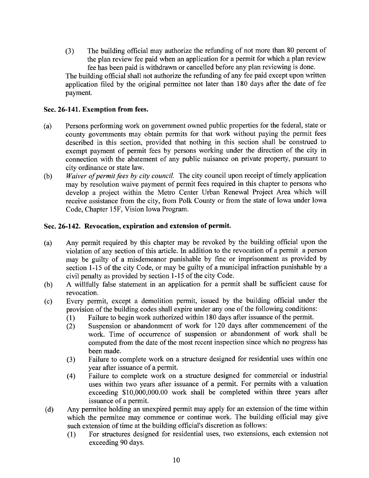(3) The building official may authorize the refunding of not more than 80 percent of the plan review fee paid when an application for a permit for which a plan review fee has been paid is withdrawn or cancelled before any plan reviewing is done.

The building official shall not authorize the refunding of any fee paid except upon written application fied by the original permittee not later than 180 days after the date of fee payment.

# Sec. 26-141. Exemption from fees.

- (a) Persons performing work on government owned public properties for the federal, state or county governments may obtain permits for that work without paying the permit fees described in this section, provided that nothing in this section shall be construed to exempt payment of permit fees by persons working under the direction of the city in connection with the abatement of any public nuisance on private propert, pursuant to city ordinance or state law.
- (b) Waiver of permit fees by city council. The city council upon receipt of timely application may by resolution waive payment of permit fees required in this chapter to persons who develop a project within the Metro Center Urban Renewal Project Area which wil receive assistance from the city, from Polk County or from the state of Iowa under Iowa Code, Chapter 15F, Vision Iowa Program.

# Sec. 26-142. Revocation, expiration and extension of permit.

- (a) Any permit required by this chapter may be revoked by the building official upon the violation of any section of this aricle. In addition to the revocation of a permit a person may be guilty of a misdemeanor punishable by fine or imprisonment as provided by section 1-15 of the city Code, or may be guilty of a municipal infraction punishable by a civil penalty as provided by section 1-15 of the city Code.
- (b) A wilfully false statement in an application for a permit shall be suffcient cause for revocation.
- (c) Every permit, except a demolition permit, issued by the building official under the provision of the building codes shall expire under anyone of the following conditions:
	- $(1)$  Fainure to begin work authorized with Failure to begin work authorized within 180 days after issuance of the permit.
	- (2) Suspension or abandonment of work for 120 days after commencement of the work. Time of occurrence of suspension or abandonment of work shall be computed from the date of the most recent inspection since which no progress has been made.
	- (3) Failure to complete work on a structure designed for residential uses within one year after issuance of a permit.
	- (4) Failure to complete work on a structure designed for commercial or industrial uses within two years after issuance of a permit. For permits with a valuation exceeding \$10,000,000.00 work shall be completed within three years after issuance of a permit.
- (d) Any permitee holding an unexpired permit may apply for an extension of the time within which the permitee may commence or continue work. The building official may give such extension of time at the building official's discretion as follows:
	- (1) For structures designed for residential uses, two extensions, each extension not exceeding 90 days.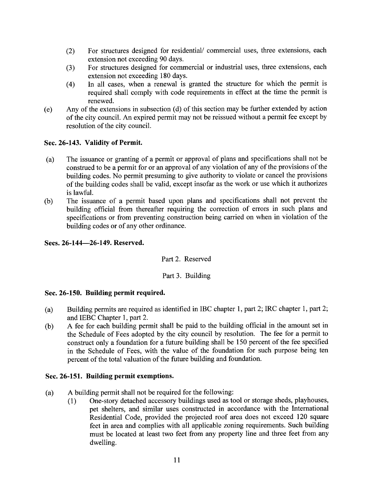- (2) For structures designed for residential/ commercial uses, three extensions, each extension not exceeding 90 days.
- (3) For structures designed for commercial or industrial uses, three extensions, each extension not exceeding 180 days.
- (4) In all cases, when a renewal is granted the structure for which the permit is required shall comply with code requirements in effect at the time the permit is renewed.
- (e) Any of the extensions in subsection (d) of this section may be further extended by action of the city counciL. An expired permit may not be reissued without a permit fee except by resolution of the city counciL.

# Sec. 26-143. Validity of Permit.

- (a) The issuance or granting of a permit or approval of plans and specifications shall not be construed to be a permit for or an approval of any violation of any of the provisions of the building codes. No permit presuming to give authority to violate or cancel the provisions of the building codes shall be valid, except insofar as the work or use which it authorizes is lawfuL.
- (b) The issuance of a permit based upon plans and specifications shall not prevent the building official from thereafter requiring the correction of errors in such plans and specifications or from preventing construction being carried on when in violation of the building codes or of any other ordinance.

# Secs. 26-144-26-149. Reserved.

## Part 2. Reserved

# Part 3. Building

## Sec. 26-150. Building permit required.

- (a) Building permits are required as identified in IBC chapter 1, par 2; IRC chapter 1, part 2; and IEBC Chapter 1, part 2.
- (b) A fee for each building permit shall be paid to the building official in the amount set in the Schedule of Fees adopted by the city council by resolution. The fee for a permit to construct only a foundation for a future building shall be 150 percent of the fee specified in the Schedule of Fees, with the value of the foundation for such purpose being ten percent of the total valuation of the future building and foundation.

## Sec. 26-151. Building permit exemptions.

- (a) A building permit shall not be required for the following:<br>(1) One-story detached accessory buildings used as to
	- (1) One-story detached accessory buildings used as tool or storage sheds, playhouses, pet shelters, and similar uses constructed in accordance with the International Residential Code, provided the projected roof area does not exceed 120 square feet in area and complies with all applicable zoning requirements. Such building must be located at least two feet from any property line and three feet from any dwelling.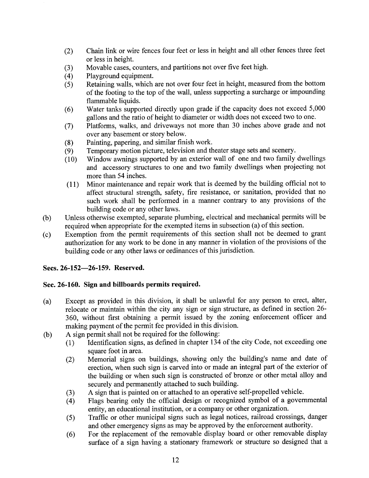- (2) Chain link or wire fences four feet or less in height and all other fences three feet or less in height.
- (3) Movable cases, counters, and partitions not over five feet high.<br>
(4) Playground equipment.
- 
- (4) Playground equipment.<br>(5) Retaining walls, which Retaining walls, which are not over four feet in height, measured from the bottom of the footing to the top of the wall, unless supporting a surcharge or impounding flammable liquids.
- (6) Water tanks supported directly upon grade if the capacity does not exceed 5,000 gallons and the ratio of height to diameter or width does not exceed two to one.
- (7) Platforms, walks, and driveways not more than 30 inches above grade and not over any basement or story below.
- (8) Painting, papering, and similar finish work.<br>(9) Temporary motion picture, television and the
- (9) Temporary motion picture, television and theater stage sets and scenery.<br>(10) Window awnings supported by an exterior wall of one and two family
- Window awnings supported by an exterior wall of one and two family dwellings and accessory structures to one and two family dwellings when projecting not more than 54 inches.
- (11) Minor maintenance and repair work that is deemed by the building official not to affect structural strength, safety, fire resistance, or sanitation, provided that no such work shall be performed in a maner contrary to any provisions of the building code or any other laws.
- (b) Unless otherwise exempted, separate plumbing, electrical and mechanical permits wil be required when appropriate for the exempted items in subsection (a) of this section.
- (c) Exemption from the permit requirements of this section shall not be deemed to grant authorization for any work to be done in any manner in violation of the provisions of the building code or any other laws or ordinances of this jurisdiction.

# Secs. 26-152-26-159. Reserved.

# Sec.26-160. Sign and bilboards permits required.

- (a) Except as provided in this division, it shall be unlawful for any person to erect, alter, relocate or maintain within the city any sign or sign structure, as defined in section 26- 360, without first obtaining a permit issued by the zoning enforcement officer and making payment of the permit fee provided in this division.
- (b) A sign permit shall not be required for the following:<br>(1) Identification signs, as defined in chapter 134
	- Identification signs, as defined in chapter 134 of the city Code, not exceeding one square foot in area.
	- (2) Memorial signs on buildings, showing only the building's name and date of erection, when such sign is carved into or made an integral part of the exterior of the building or when such sign is constructed of bronze or other metal alloy and securely and permanently attached to such building.
	-
	- (3) A sign that is painted on or attached to an operative self-propelled vehicle.<br>
	(4) Flags bearing only the official design or recognized symbol of a govern Flags bearing only the official design or recognized symbol of a governmental entity, an educational institution, or a company or other organization.
	- (5) Traffc or other municipal signs such as legal notices, railroad crossings, danger and other emergency signs as may be approved by the enforcement authority.
	- (6) For the replacement of the removable display board or other removable display surface of a sign having a stationary framework or structure so designed that a